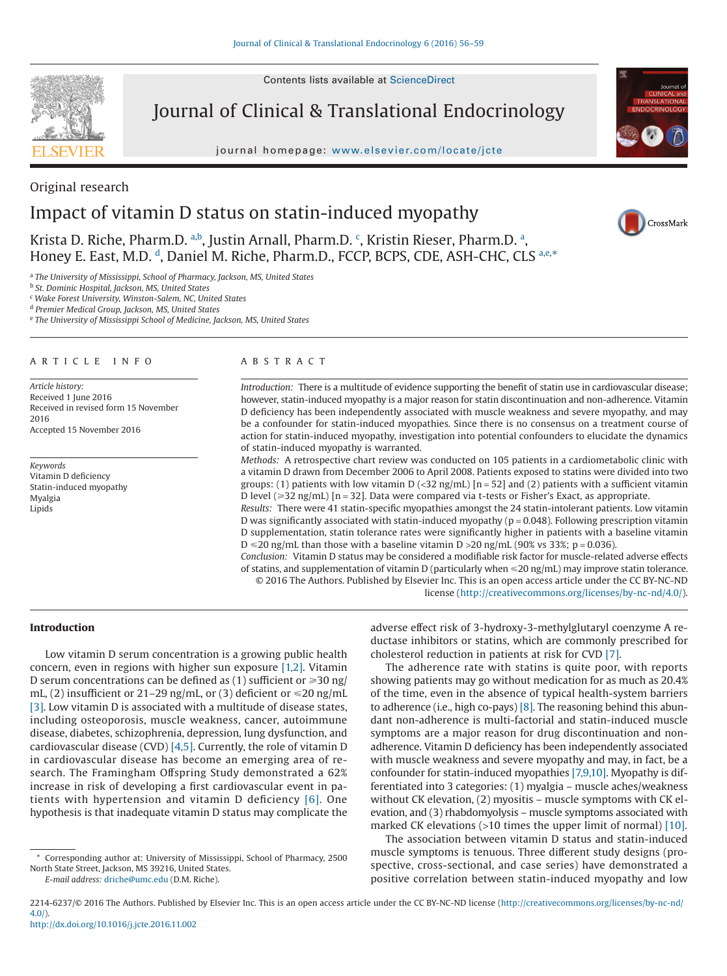Contents lists available at [ScienceDirect](http://www.sciencedirect.com/science/journal/22146237)

# Journal of Clinical & Translational Endocrinology

journal homepage: [www.elsevier.com/locate/jcte](http://www.elsevier.com/locate/JCTE)



CrossMark

## Original research Impact of vitamin D status on statin-induced myopathy

Krist[a](#page-0-0) D. Riche, Pharm.D. <sup>a[,b](#page-0-1)</sup>, Justin Arnall, Pharm.D. °, Kristin Rieser, Pharm.D. ª, Honey E. E[a](#page-0-0)st, M.D. <sup>d</sup>, Daniel M. Riche, Pharm.D., FCCP, BCPS, CDE, ASH-CHC, CLS a.e.[\\*](#page-0-5)

<span id="page-0-0"></span><sup>a</sup> *The University of Mississippi, School of Pharmacy, Jackson, MS, United States*

<span id="page-0-1"></span><sup>b</sup> *St. Dominic Hospital, Jackson, MS, United States*

<span id="page-0-2"></span><sup>c</sup> *Wake Forest University, Winston-Salem, NC, United States*

<span id="page-0-3"></span><sup>d</sup> *Premier Medical Group, Jackson, MS, United States*

<span id="page-0-4"></span><sup>e</sup> *The University of Mississippi School of Medicine, Jackson, MS, United States*

#### ARTICLE INFO

*Article history:* Received 1 June 2016 Received in revised form 15 November 2016 Accepted 15 November 2016

*Keywords* Vitamin D deficiency Statin-induced myopathy Myalgia Lipids

#### ABSTRACT

*Introduction:* There is a multitude of evidence supporting the benefit of statin use in cardiovascular disease; however, statin-induced myopathy is a major reason for statin discontinuation and non-adherence. Vitamin D deficiency has been independently associated with muscle weakness and severe myopathy, and may be a confounder for statin-induced myopathies. Since there is no consensus on a treatment course of action for statin-induced myopathy, investigation into potential confounders to elucidate the dynamics of statin-induced myopathy is warranted.

*Methods:* A retrospective chart review was conducted on 105 patients in a cardiometabolic clinic with a vitamin D drawn from December 2006 to April 2008. Patients exposed to statins were divided into two groups: (1) patients with low vitamin  $D$  (<32 ng/mL) [n = 52] and (2) patients with a sufficient vitamin D level ( $\geq 32$  ng/mL) [n = 32]. Data were compared via t-tests or Fisher's Exact, as appropriate.

*Results:* There were 41 statin-specific myopathies amongst the 24 statin-intolerant patients. Low vitamin D was significantly associated with statin-induced myopathy ( $p = 0.048$ ). Following prescription vitamin D supplementation, statin tolerance rates were significantly higher in patients with a baseline vitamin D  $\leq$  20 ng/mL than those with a baseline vitamin D > 20 ng/mL (90% vs 33%; p = 0.036).

*Conclusion:* Vitamin D status may be considered a modifiable risk factor for muscle-related adverse effects of statins, and supplementation of vitamin D (particularly when  $\leq$ 20 ng/mL) may improve statin tolerance. © 2016 The Authors. Published by Elsevier Inc. This is an open access article under the CC BY-NC-ND license (http://creativecommons.org/licenses/by-nc-nd/4.0/).

#### **Introduction**

Low vitamin D serum concentration is a growing public health concern, even in regions with higher sun exposure [\[1,2\].](#page-3-0) Vitamin D serum concentrations can be defined as (1) sufficient or  $\geq 30$  ng/ mL, (2) insufficient or 21–29 ng/mL, or (3) deficient or  $\leq 20$  ng/mL [\[3\].](#page-3-1) Low vitamin D is associated with a multitude of disease states, including osteoporosis, muscle weakness, cancer, autoimmune disease, diabetes, schizophrenia, depression, lung dysfunction, and cardiovascular disease (CVD) [\[4,5\].](#page-3-2) Currently, the role of vitamin D in cardiovascular disease has become an emerging area of research. The Framingham Offspring Study demonstrated a 62% increase in risk of developing a first cardiovascular event in patients with hypertension and vitamin D deficiency [\[6\].](#page-3-3) One hypothesis is that inadequate vitamin D status may complicate the

*E-mail address:* [driche@umc.edu](mailto:driche@umc.edu) (D.M. Riche).

adverse effect risk of 3-hydroxy-3-methylglutaryl coenzyme A reductase inhibitors or statins, which are commonly prescribed for cholesterol reduction in patients at risk for CVD [\[7\].](#page-3-4)

The adherence rate with statins is quite poor, with reports showing patients may go without medication for as much as 20.4% of the time, even in the absence of typical health-system barriers to adherence (i.e., high co-pays)  $[8]$ . The reasoning behind this abundant non-adherence is multi-factorial and statin-induced muscle symptoms are a major reason for drug discontinuation and nonadherence. Vitamin D deficiency has been independently associated with muscle weakness and severe myopathy and may, in fact, be a confounder for statin-induced myopathies [\[7,9,10\].](#page-3-4) Myopathy is differentiated into 3 categories: (1) myalgia – muscle aches/weakness without CK elevation, (2) myositis – muscle symptoms with CK elevation, and (3) rhabdomyolysis – muscle symptoms associated with marked CK elevations (>10 times the upper limit of normal) [\[10\].](#page-3-6)

The association between vitamin D status and statin-induced muscle symptoms is tenuous. Three different study designs (prospective, cross-sectional, and case series) have demonstrated a positive correlation between statin-induced myopathy and low

<span id="page-0-5"></span>Corresponding author at: University of Mississippi, School of Pharmacy, 2500 North State Street, Jackson, MS 39216, United States.

<sup>2214-6237/© 2016</sup> The Authors. Published by Elsevier Inc. This is an open access article under the CC BY-NC-ND license (http://creativecommons.org/licenses/by-nc-nd/ 4.0/).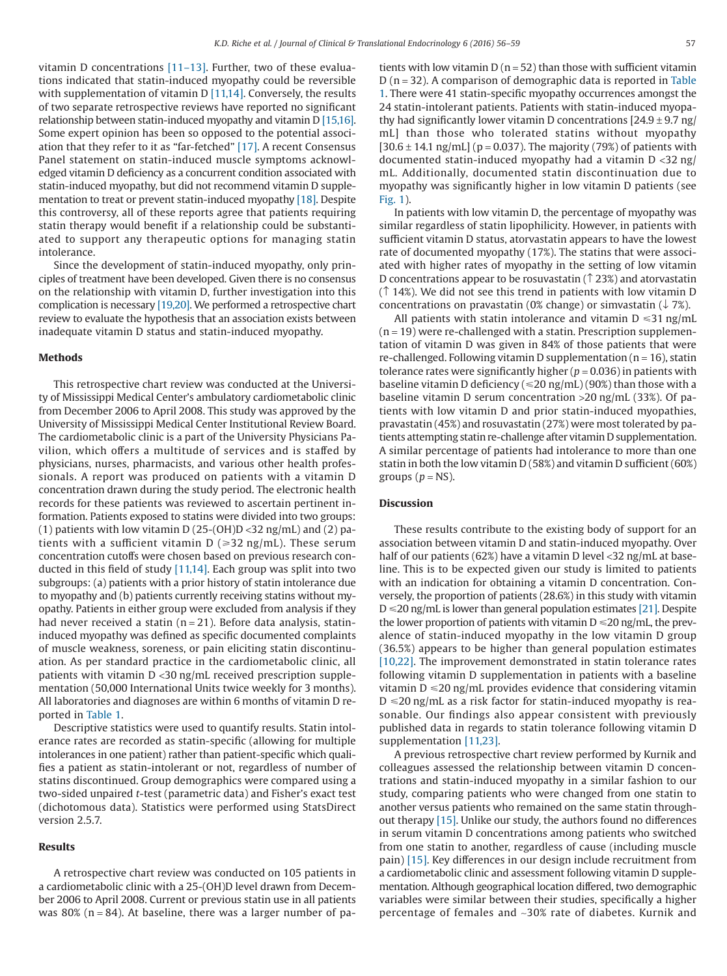vitamin D concentrations  $[11-13]$ . Further, two of these evaluations indicated that statin-induced myopathy could be reversible with supplementation of vitamin  $D$  [\[11,14\].](#page-3-7) Conversely, the results of two separate retrospective reviews have reported no significant relationship between statin-induced myopathy and vitamin D [\[15,16\].](#page-3-8) Some expert opinion has been so opposed to the potential association that they refer to it as "far-fetched" [\[17\].](#page-3-9) A recent Consensus Panel statement on statin-induced muscle symptoms acknowledged vitamin D deficiency as a concurrent condition associated with statin-induced myopathy, but did not recommend vitamin D supplementation to treat or prevent statin-induced myopathy [\[18\].](#page-3-10) Despite this controversy, all of these reports agree that patients requiring statin therapy would benefit if a relationship could be substantiated to support any therapeutic options for managing statin intolerance.

Since the development of statin-induced myopathy, only principles of treatment have been developed. Given there is no consensus on the relationship with vitamin D, further investigation into this complication is necessary [\[19,20\].](#page-3-11) We performed a retrospective chart review to evaluate the hypothesis that an association exists between inadequate vitamin D status and statin-induced myopathy.

#### **Methods**

This retrospective chart review was conducted at the University of Mississippi Medical Center's ambulatory cardiometabolic clinic from December 2006 to April 2008. This study was approved by the University of Mississippi Medical Center Institutional Review Board. The cardiometabolic clinic is a part of the University Physicians Pavilion, which offers a multitude of services and is staffed by physicians, nurses, pharmacists, and various other health professionals. A report was produced on patients with a vitamin D concentration drawn during the study period. The electronic health records for these patients was reviewed to ascertain pertinent information. Patients exposed to statins were divided into two groups: (1) patients with low vitamin  $D(25-(OH)D < 32$  ng/mL) and (2) patients with a sufficient vitamin D ( $\geq 32$  ng/mL). These serum concentration cutoffs were chosen based on previous research conducted in this field of study  $[11,14]$ . Each group was split into two subgroups: (a) patients with a prior history of statin intolerance due to myopathy and (b) patients currently receiving statins without myopathy. Patients in either group were excluded from analysis if they had never received a statin  $(n = 21)$ . Before data analysis, statininduced myopathy was defined as specific documented complaints of muscle weakness, soreness, or pain eliciting statin discontinuation. As per standard practice in the cardiometabolic clinic, all patients with vitamin D <30 ng/mL received prescription supplementation (50,000 International Units twice weekly for 3 months). All laboratories and diagnoses are within 6 months of vitamin D reported in [Table 1.](#page-2-0)

Descriptive statistics were used to quantify results. Statin intolerance rates are recorded as statin-specific (allowing for multiple intolerances in one patient) rather than patient-specific which qualifies a patient as statin-intolerant or not, regardless of number of statins discontinued. Group demographics were compared using a two-sided unpaired *t*-test (parametric data) and Fisher's exact test (dichotomous data). Statistics were performed using StatsDirect version 2.5.7.

#### **Results**

A retrospective chart review was conducted on 105 patients in a cardiometabolic clinic with a 25-(OH)D level drawn from December 2006 to April 2008. Current or previous statin use in all patients was 80% ( $n = 84$ ). At baseline, there was a larger number of pa-

tients with low vitamin  $D(n = 52)$  than those with sufficient vitamin  $D$  (n = 32). A comparison of demographic data is reported in [Table](#page-2-0) [1.](#page-2-0) There were 41 statin-specific myopathy occurrences amongst the 24 statin-intolerant patients. Patients with statin-induced myopathy had significantly lower vitamin D concentrations  $[24.9 \pm 9.7 \text{ ng}]$ mL] than those who tolerated statins without myopathy  $[30.6 \pm 14.1 \text{ ng/mL}](p = 0.037)$ . The majority (79%) of patients with documented statin-induced myopathy had a vitamin D <32 ng/ mL. Additionally, documented statin discontinuation due to myopathy was significantly higher in low vitamin D patients (see [Fig. 1\)](#page-2-0).

In patients with low vitamin D, the percentage of myopathy was similar regardless of statin lipophilicity. However, in patients with sufficient vitamin D status, atorvastatin appears to have the lowest rate of documented myopathy (17%). The statins that were associated with higher rates of myopathy in the setting of low vitamin D concentrations appear to be rosuvastatin (↑ 23%) and atorvastatin (↑ 14%). We did not see this trend in patients with low vitamin D concentrations on pravastatin (0% change) or simvastatin ( $\downarrow$  7%).

All patients with statin intolerance and vitamin  $D \le 31$  ng/mL  $(n = 19)$  were re-challenged with a statin. Prescription supplementation of vitamin D was given in 84% of those patients that were re-challenged. Following vitamin D supplementation ( $n = 16$ ), statin tolerance rates were significantly higher ( $p = 0.036$ ) in patients with baseline vitamin D deficiency ( $\leq$ 20 ng/mL) (90%) than those with a baseline vitamin D serum concentration >20 ng/mL (33%). Of patients with low vitamin D and prior statin-induced myopathies, pravastatin (45%) and rosuvastatin (27%) were most tolerated by patients attempting statin re-challenge after vitamin D supplementation. A similar percentage of patients had intolerance to more than one statin in both the low vitamin D (58%) and vitamin D sufficient (60%) groups  $(p = NS)$ .

#### **Discussion**

These results contribute to the existing body of support for an association between vitamin D and statin-induced myopathy. Over half of our patients (62%) have a vitamin D level <32 ng/mL at baseline. This is to be expected given our study is limited to patients with an indication for obtaining a vitamin D concentration. Conversely, the proportion of patients (28.6%) in this study with vitamin  $D \le 20$  ng/mL is lower than general population estimates [\[21\].](#page-3-12) Despite the lower proportion of patients with vitamin  $D \le 20$  ng/mL, the prevalence of statin-induced myopathy in the low vitamin D group (36.5%) appears to be higher than general population estimates [\[10,22\].](#page-3-6) The improvement demonstrated in statin tolerance rates following vitamin D supplementation in patients with a baseline vitamin  $D \le 20$  ng/mL provides evidence that considering vitamin  $D \le 20$  ng/mL as a risk factor for statin-induced myopathy is reasonable. Our findings also appear consistent with previously published data in regards to statin tolerance following vitamin D supplementation [\[11,23\].](#page-3-7)

A previous retrospective chart review performed by Kurnik and colleagues assessed the relationship between vitamin D concentrations and statin-induced myopathy in a similar fashion to our study, comparing patients who were changed from one statin to another versus patients who remained on the same statin throughout therapy [\[15\].](#page-3-8) Unlike our study, the authors found no differences in serum vitamin D concentrations among patients who switched from one statin to another, regardless of cause (including muscle pain) [\[15\].](#page-3-8) Key differences in our design include recruitment from a cardiometabolic clinic and assessment following vitamin D supplementation. Although geographical location differed, two demographic variables were similar between their studies, specifically a higher percentage of females and ∼30% rate of diabetes. Kurnik and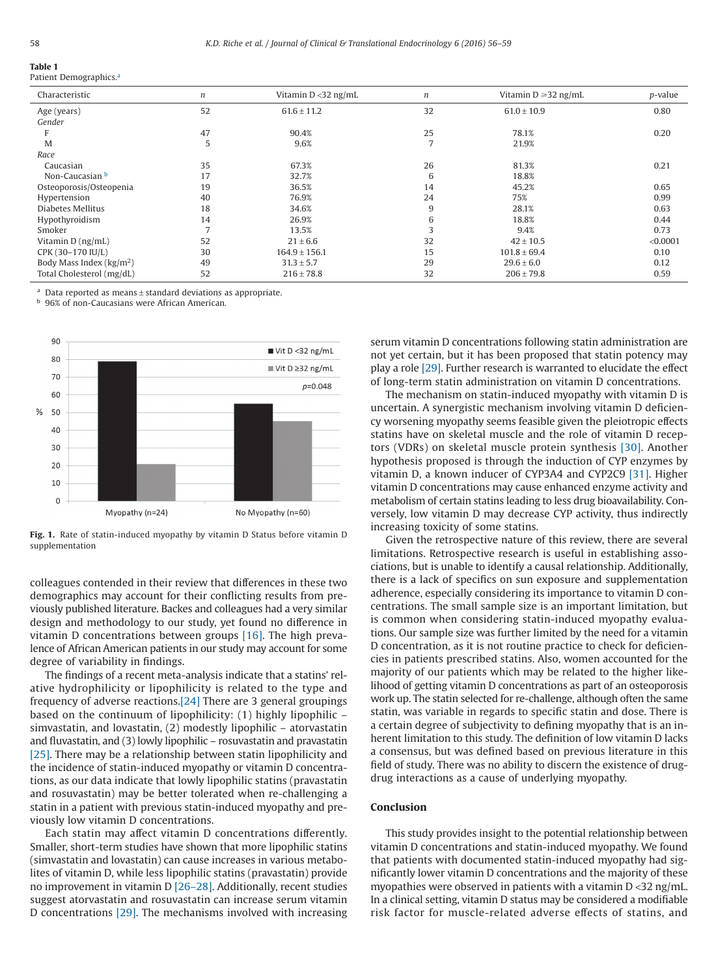<span id="page-2-0"></span>

| TADIC T |                      |
|---------|----------------------|
|         | Patient Demographics |

| Characteristic                      | n  | Vitamin $D < 32$ ng/mL | n  | Vitamin $D \ge 32$ ng/mL | <i>p</i> -value |
|-------------------------------------|----|------------------------|----|--------------------------|-----------------|
| Age (years)                         | 52 | $61.6 \pm 11.2$        | 32 | $61.0 \pm 10.9$          | 0.80            |
| Gender                              |    |                        |    |                          |                 |
|                                     | 47 | 90.4%                  | 25 | 78.1%                    | 0.20            |
| M                                   | 5  | 9.6%                   | ⇁  | 21.9%                    |                 |
| Race                                |    |                        |    |                          |                 |
| Caucasian                           | 35 | 67.3%                  | 26 | 81.3%                    | 0.21            |
| Non-Caucasian b                     | 17 | 32.7%                  | 6  | 18.8%                    |                 |
| Osteoporosis/Osteopenia             | 19 | 36.5%                  | 14 | 45.2%                    | 0.65            |
| Hypertension                        | 40 | 76.9%                  | 24 | 75%                      | 0.99            |
| Diabetes Mellitus                   | 18 | 34.6%                  | 9  | 28.1%                    | 0.63            |
| Hypothyroidism                      | 14 | 26.9%                  | 6  | 18.8%                    | 0.44            |
| Smoker                              |    | 13.5%                  |    | 9.4%                     | 0.73            |
| Vitamin $D$ (ng/mL)                 | 52 | $21 \pm 6.6$           | 32 | $42 \pm 10.5$            | < 0.0001        |
| CPK (30-170 IU/L)                   | 30 | $164.9 \pm 156.1$      | 15 | $101.8 \pm 69.4$         | 0.10            |
| Body Mass Index ( $\text{kg/m}^2$ ) | 49 | $31.3 \pm 5.7$         | 29 | $29.6 \pm 6.0$           | 0.12            |
| Total Cholesterol (mg/dL)           | 52 | $216 \pm 78.8$         | 32 | $206 \pm 79.8$           | 0.59            |

<span id="page-2-1"></span> $a$  Data reported as means  $\pm$  standard deviations as appropriate.

<span id="page-2-2"></span>**b** 96% of non-Caucasians were African American.



**Fig. 1.** Rate of statin-induced myopathy by vitamin D Status before vitamin D supplementation

colleagues contended in their review that differences in these two demographics may account for their conflicting results from previously published literature. Backes and colleagues had a very similar design and methodology to our study, yet found no difference in vitamin D concentrations between groups [\[16\].](#page-3-13) The high prevalence of African American patients in our study may account for some degree of variability in findings.

The findings of a recent meta-analysis indicate that a statins' relative hydrophilicity or lipophilicity is related to the type and frequency of adverse reactions[.\[24\]](#page-3-14) There are 3 general groupings based on the continuum of lipophilicity: (1) highly lipophilic – simvastatin, and lovastatin, (2) modestly lipophilic – atorvastatin and fluvastatin, and (3) lowly lipophilic – rosuvastatin and pravastatin [\[25\].](#page-3-15) There may be a relationship between statin lipophilicity and the incidence of statin-induced myopathy or vitamin D concentrations, as our data indicate that lowly lipophilic statins (pravastatin and rosuvastatin) may be better tolerated when re-challenging a statin in a patient with previous statin-induced myopathy and previously low vitamin D concentrations.

Each statin may affect vitamin D concentrations differently. Smaller, short-term studies have shown that more lipophilic statins (simvastatin and lovastatin) can cause increases in various metabolites of vitamin D, while less lipophilic statins (pravastatin) provide no improvement in vitamin D [\[26–28\].](#page-3-16) Additionally, recent studies suggest atorvastatin and rosuvastatin can increase serum vitamin D concentrations [\[29\].](#page-3-17) The mechanisms involved with increasing serum vitamin D concentrations following statin administration are not yet certain, but it has been proposed that statin potency may play a role [\[29\].](#page-3-17) Further research is warranted to elucidate the effect of long-term statin administration on vitamin D concentrations.

The mechanism on statin-induced myopathy with vitamin D is uncertain. A synergistic mechanism involving vitamin D deficiency worsening myopathy seems feasible given the pleiotropic effects statins have on skeletal muscle and the role of vitamin D receptors (VDRs) on skeletal muscle protein synthesis [\[30\].](#page-3-18) Another hypothesis proposed is through the induction of CYP enzymes by vitamin D, a known inducer of CYP3A4 and CYP2C9 [\[31\].](#page-3-19) Higher vitamin D concentrations may cause enhanced enzyme activity and metabolism of certain statins leading to less drug bioavailability. Conversely, low vitamin D may decrease CYP activity, thus indirectly increasing toxicity of some statins.

Given the retrospective nature of this review, there are several limitations. Retrospective research is useful in establishing associations, but is unable to identify a causal relationship. Additionally, there is a lack of specifics on sun exposure and supplementation adherence, especially considering its importance to vitamin D concentrations. The small sample size is an important limitation, but is common when considering statin-induced myopathy evaluations. Our sample size was further limited by the need for a vitamin D concentration, as it is not routine practice to check for deficiencies in patients prescribed statins. Also, women accounted for the majority of our patients which may be related to the higher likelihood of getting vitamin D concentrations as part of an osteoporosis work up. The statin selected for re-challenge, although often the same statin, was variable in regards to specific statin and dose. There is a certain degree of subjectivity to defining myopathy that is an inherent limitation to this study. The definition of low vitamin D lacks a consensus, but was defined based on previous literature in this field of study. There was no ability to discern the existence of drugdrug interactions as a cause of underlying myopathy.

### **Conclusion**

This study provides insight to the potential relationship between vitamin D concentrations and statin-induced myopathy. We found that patients with documented statin-induced myopathy had significantly lower vitamin D concentrations and the majority of these myopathies were observed in patients with a vitamin D <32 ng/mL. In a clinical setting, vitamin D status may be considered a modifiable risk factor for muscle-related adverse effects of statins, and